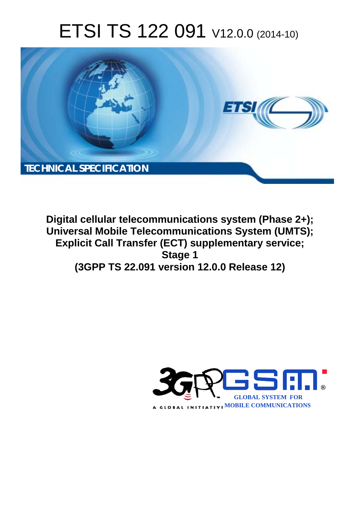# ETSI TS 122 091 V12.0.0 (2014-10)



**Digital cellular telecommunications system (Phase 2+); Universal Mobile Telecommunications System (UMTS); Explicit Call Transfer (ECT) supplementary service; Stage 1 (3GPP TS 22.091 version 12.0.0 Release 12)** 

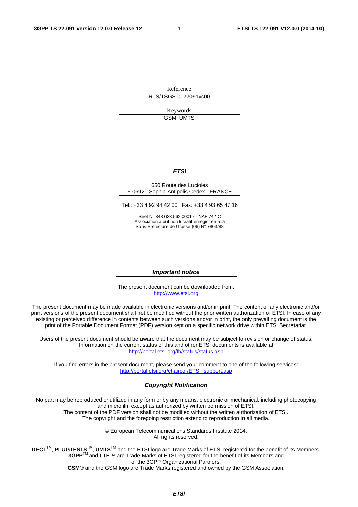Reference RTS/TSGS-0122091vc00

> Keywords GSM, UMTS

#### *ETSI*

#### 650 Route des Lucioles F-06921 Sophia Antipolis Cedex - FRANCE

Tel.: +33 4 92 94 42 00 Fax: +33 4 93 65 47 16

Siret N° 348 623 562 00017 - NAF 742 C Association à but non lucratif enregistrée à la Sous-Préfecture de Grasse (06) N° 7803/88

#### *Important notice*

The present document can be downloaded from: [http://www.etsi.org](http://www.etsi.org/)

The present document may be made available in electronic versions and/or in print. The content of any electronic and/or print versions of the present document shall not be modified without the prior written authorization of ETSI. In case of any existing or perceived difference in contents between such versions and/or in print, the only prevailing document is the print of the Portable Document Format (PDF) version kept on a specific network drive within ETSI Secretariat.

Users of the present document should be aware that the document may be subject to revision or change of status. Information on the current status of this and other ETSI documents is available at <http://portal.etsi.org/tb/status/status.asp>

If you find errors in the present document, please send your comment to one of the following services: [http://portal.etsi.org/chaircor/ETSI\\_support.asp](http://portal.etsi.org/chaircor/ETSI_support.asp)

#### *Copyright Notification*

No part may be reproduced or utilized in any form or by any means, electronic or mechanical, including photocopying and microfilm except as authorized by written permission of ETSI.

The content of the PDF version shall not be modified without the written authorization of ETSI. The copyright and the foregoing restriction extend to reproduction in all media.

> © European Telecommunications Standards Institute 2014. All rights reserved.

**DECT**TM, **PLUGTESTS**TM, **UMTS**TM and the ETSI logo are Trade Marks of ETSI registered for the benefit of its Members. **3GPP**TM and **LTE**™ are Trade Marks of ETSI registered for the benefit of its Members and of the 3GPP Organizational Partners.

**GSM**® and the GSM logo are Trade Marks registered and owned by the GSM Association.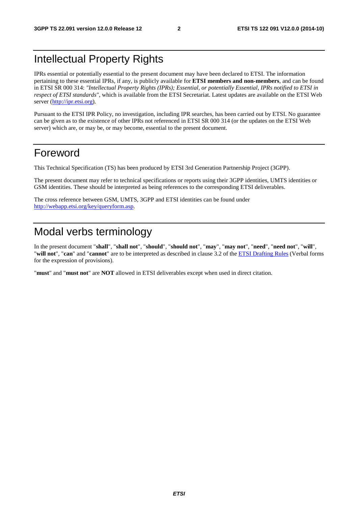# Intellectual Property Rights

IPRs essential or potentially essential to the present document may have been declared to ETSI. The information pertaining to these essential IPRs, if any, is publicly available for **ETSI members and non-members**, and can be found in ETSI SR 000 314: *"Intellectual Property Rights (IPRs); Essential, or potentially Essential, IPRs notified to ETSI in respect of ETSI standards"*, which is available from the ETSI Secretariat. Latest updates are available on the ETSI Web server [\(http://ipr.etsi.org](http://webapp.etsi.org/IPR/home.asp)).

Pursuant to the ETSI IPR Policy, no investigation, including IPR searches, has been carried out by ETSI. No guarantee can be given as to the existence of other IPRs not referenced in ETSI SR 000 314 (or the updates on the ETSI Web server) which are, or may be, or may become, essential to the present document.

### Foreword

This Technical Specification (TS) has been produced by ETSI 3rd Generation Partnership Project (3GPP).

The present document may refer to technical specifications or reports using their 3GPP identities, UMTS identities or GSM identities. These should be interpreted as being references to the corresponding ETSI deliverables.

The cross reference between GSM, UMTS, 3GPP and ETSI identities can be found under [http://webapp.etsi.org/key/queryform.asp.](http://webapp.etsi.org/key/queryform.asp)

# Modal verbs terminology

In the present document "**shall**", "**shall not**", "**should**", "**should not**", "**may**", "**may not**", "**need**", "**need not**", "**will**", "**will not**", "**can**" and "**cannot**" are to be interpreted as described in clause 3.2 of the [ETSI Drafting Rules](http://portal.etsi.org/Help/editHelp!/Howtostart/ETSIDraftingRules.aspx) (Verbal forms for the expression of provisions).

"**must**" and "**must not**" are **NOT** allowed in ETSI deliverables except when used in direct citation.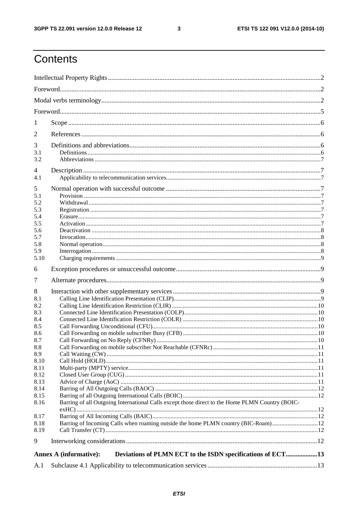$\mathbf{3}$ 

# Contents

| 1          |                                                                                                 |  |  |  |  |  |
|------------|-------------------------------------------------------------------------------------------------|--|--|--|--|--|
| 2          |                                                                                                 |  |  |  |  |  |
|            |                                                                                                 |  |  |  |  |  |
| 3<br>3.1   |                                                                                                 |  |  |  |  |  |
| 3.2        |                                                                                                 |  |  |  |  |  |
| 4          |                                                                                                 |  |  |  |  |  |
| 4.1        |                                                                                                 |  |  |  |  |  |
| 5          |                                                                                                 |  |  |  |  |  |
| 5.1        |                                                                                                 |  |  |  |  |  |
| 5.2        |                                                                                                 |  |  |  |  |  |
| 5.3        |                                                                                                 |  |  |  |  |  |
| 5.4<br>5.5 |                                                                                                 |  |  |  |  |  |
| 5.6        |                                                                                                 |  |  |  |  |  |
| 5.7        |                                                                                                 |  |  |  |  |  |
| 5.8        |                                                                                                 |  |  |  |  |  |
| 5.9        |                                                                                                 |  |  |  |  |  |
| 5.10       |                                                                                                 |  |  |  |  |  |
| 6          |                                                                                                 |  |  |  |  |  |
| 7          |                                                                                                 |  |  |  |  |  |
| 8          |                                                                                                 |  |  |  |  |  |
| 8.1        |                                                                                                 |  |  |  |  |  |
| 8.2        |                                                                                                 |  |  |  |  |  |
| 8.3        |                                                                                                 |  |  |  |  |  |
| 8.4        |                                                                                                 |  |  |  |  |  |
| 8.5        |                                                                                                 |  |  |  |  |  |
| 8.6        |                                                                                                 |  |  |  |  |  |
| 8.7        |                                                                                                 |  |  |  |  |  |
| 8.8<br>8.9 |                                                                                                 |  |  |  |  |  |
| 8.10       |                                                                                                 |  |  |  |  |  |
| 8.11       |                                                                                                 |  |  |  |  |  |
| 8.12       |                                                                                                 |  |  |  |  |  |
| 8.13       |                                                                                                 |  |  |  |  |  |
| 8.14       |                                                                                                 |  |  |  |  |  |
| 8.15       |                                                                                                 |  |  |  |  |  |
| 8.16       | Barring of all Outgoing International Calls except those direct to the Home PLMN Country (BOIC- |  |  |  |  |  |
| 8.17       |                                                                                                 |  |  |  |  |  |
| 8.18       | Barring of Incoming Calls when roaming outside the home PLMN country (BIC-Roam)12               |  |  |  |  |  |
| 8.19       |                                                                                                 |  |  |  |  |  |
|            |                                                                                                 |  |  |  |  |  |
| 9          |                                                                                                 |  |  |  |  |  |
|            | Deviations of PLMN ECT to the ISDN specifications of ECT13<br><b>Annex A (informative):</b>     |  |  |  |  |  |
| A.1        |                                                                                                 |  |  |  |  |  |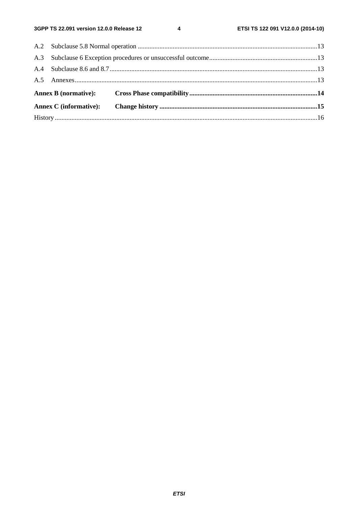$\overline{\mathbf{4}}$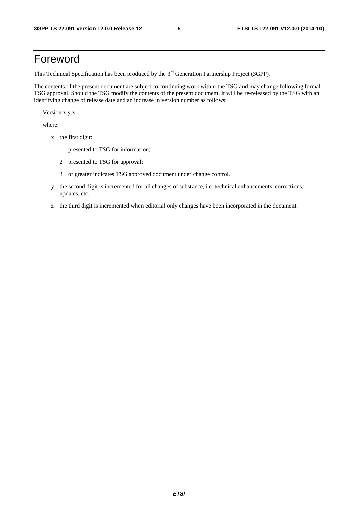# Foreword

This Technical Specification has been produced by the 3<sup>rd</sup> Generation Partnership Project (3GPP).

The contents of the present document are subject to continuing work within the TSG and may change following formal TSG approval. Should the TSG modify the contents of the present document, it will be re-released by the TSG with an identifying change of release date and an increase in version number as follows:

Version x.y.z

where:

- x the first digit:
	- 1 presented to TSG for information;
	- 2 presented to TSG for approval;
	- 3 or greater indicates TSG approved document under change control.
- y the second digit is incremented for all changes of substance, i.e. technical enhancements, corrections, updates, etc.
- z the third digit is incremented when editorial only changes have been incorporated in the document.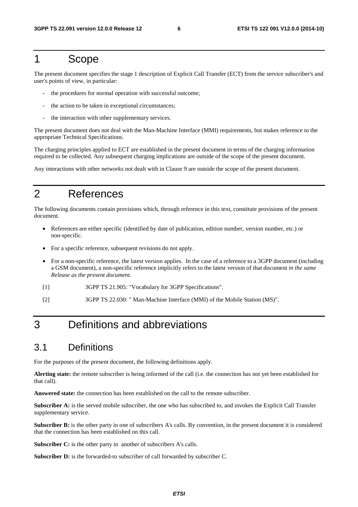#### 1 Scope

The present document specifies the stage 1 description of Explicit Call Transfer (ECT) from the service subscriber's and user's points of view, in particular:

- the procedures for normal operation with successful outcome;
- the action to be taken in exceptional circumstances;
- the interaction with other supplementary services.

The present document does not deal with the Man-Machine Interface (MMI) requirements, but makes reference to the appropriate Technical Specifications.

The charging principles applied to ECT are established in the present document in terms of the charging information required to be collected. Any subsequent charging implications are outside of the scope of the present document.

Any interactions with other networks not dealt with in Clause 9 are outside the scope of the present document.

# 2 References

The following documents contain provisions which, through reference in this text, constitute provisions of the present document.

- References are either specific (identified by date of publication, edition number, version number, etc.) or non-specific.
- For a specific reference, subsequent revisions do not apply.
- For a non-specific reference, the latest version applies. In the case of a reference to a 3GPP document (including a GSM document), a non-specific reference implicitly refers to the latest version of that document *in the same Release as the present document*.
- [1] 3GPP TS 21.905: "Vocabulary for 3GPP Specifications".
- [2] 3GPP TS 22.030: " Man-Machine Interface (MMI) of the Mobile Station (MS)".

# 3 Definitions and abbreviations

#### 3.1 Definitions

For the purposes of the present document, the following definitions apply.

**Alerting state:** the remote subscriber is being informed of the call (i.e. the connection has not yet been established for that call).

**Answered state:** the connection has been established on the call to the remote subscriber.

**Subscriber A:** is the served mobile subscriber, the one who has subscribed to, and invokes the Explicit Call Transfer supplementary service.

**Subscriber B:** is the other party in one of subscribers A's calls. By convention, in the present document it is considered that the connection has been established on this call.

**Subscriber C:** is the other party in another of subscribers A's calls.

Subscriber D: is the forwarded-to subscriber of call forwarded by subscriber C.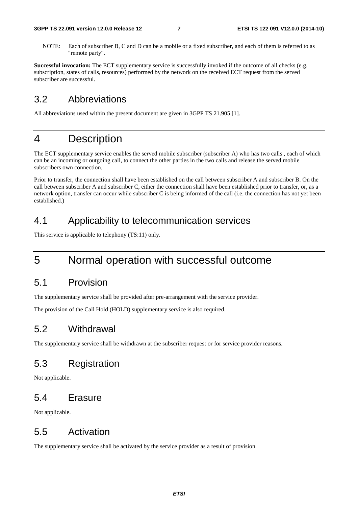NOTE: Each of subscriber B, C and D can be a mobile or a fixed subscriber, and each of them is referred to as "remote party".

**Successful invocation:** The ECT supplementary service is successfully invoked if the outcome of all checks (e.g. subscription, states of calls, resources) performed by the network on the received ECT request from the served subscriber are successful.

#### 3.2 Abbreviations

All abbreviations used within the present document are given in 3GPP TS 21.905 [1].

### 4 Description

The ECT supplementary service enables the served mobile subscriber (subscriber A) who has two calls , each of which can be an incoming or outgoing call, to connect the other parties in the two calls and release the served mobile subscribers own connection.

Prior to transfer, the connection shall have been established on the call between subscriber A and subscriber B. On the call between subscriber A and subscriber C, either the connection shall have been established prior to transfer, or, as a network option, transfer can occur while subscriber C is being informed of the call (i.e. the connection has not yet been established.)

#### 4.1 Applicability to telecommunication services

This service is applicable to telephony (TS:11) only.

# 5 Normal operation with successful outcome

#### 5.1 Provision

The supplementary service shall be provided after pre-arrangement with the service provider.

The provision of the Call Hold (HOLD) supplementary service is also required.

#### 5.2 Withdrawal

The supplementary service shall be withdrawn at the subscriber request or for service provider reasons.

#### 5.3 Registration

Not applicable.

#### 5.4 Erasure

Not applicable.

#### 5.5 Activation

The supplementary service shall be activated by the service provider as a result of provision.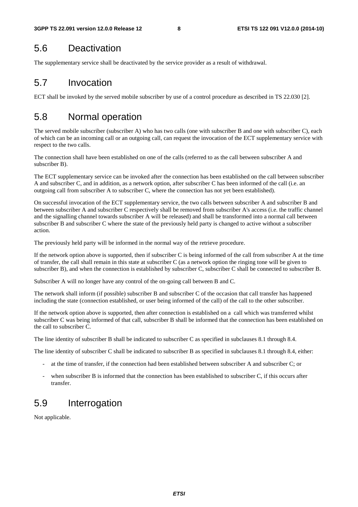#### 5.6 Deactivation

The supplementary service shall be deactivated by the service provider as a result of withdrawal.

#### 5.7 Invocation

ECT shall be invoked by the served mobile subscriber by use of a control procedure as described in TS 22.030 [2].

### 5.8 Normal operation

The served mobile subscriber (subscriber A) who has two calls (one with subscriber B and one with subscriber C), each of which can be an incoming call or an outgoing call, can request the invocation of the ECT supplementary service with respect to the two calls.

The connection shall have been established on one of the calls (referred to as the call between subscriber A and subscriber B).

The ECT supplementary service can be invoked after the connection has been established on the call between subscriber A and subscriber C, and in addition, as a network option, after subscriber C has been informed of the call (i.e. an outgoing call from subscriber A to subscriber C, where the connection has not yet been established).

On successful invocation of the ECT supplementary service, the two calls between subscriber A and subscriber B and between subscriber A and subscriber C respectively shall be removed from subscriber A's access (i.e. the traffic channel and the signalling channel towards subscriber A will be released) and shall be transformed into a normal call between subscriber B and subscriber C where the state of the previously held party is changed to active without a subscriber action.

The previously held party will be informed in the normal way of the retrieve procedure.

If the network option above is supported, then if subscriber C is being informed of the call from subscriber A at the time of transfer, the call shall remain in this state at subscriber C (as a network option the ringing tone will be given to subscriber B), and when the connection is established by subscriber C, subscriber C shall be connected to subscriber B.

Subscriber A will no longer have any control of the on-going call between B and C.

The network shall inform (if possible) subscriber B and subscriber C of the occasion that call transfer has happened including the state (connection established, or user being informed of the call) of the call to the other subscriber.

If the network option above is supported, then after connection is established on a call which was transferred whilst subscriber C was being informed of that call, subscriber B shall be informed that the connection has been established on the call to subscriber C.

The line identity of subscriber B shall be indicated to subscriber C as specified in subclauses 8.1 through 8.4.

The line identity of subscriber C shall be indicated to subscriber B as specified in subclauses 8.1 through 8.4, either:

- at the time of transfer, if the connection had been established between subscriber A and subscriber C; or
- when subscriber B is informed that the connection has been established to subscriber C, if this occurs after transfer.

#### 5.9 Interrogation

Not applicable.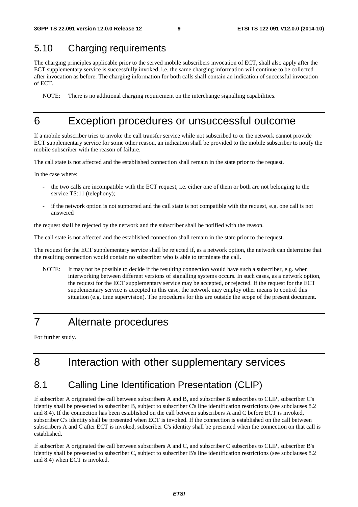#### 5.10 Charging requirements

The charging principles applicable prior to the served mobile subscribers invocation of ECT, shall also apply after the ECT supplementary service is successfully invoked, i.e. the same charging information will continue to be collected after invocation as before. The charging information for both calls shall contain an indication of successful invocation of ECT.

NOTE: There is no additional charging requirement on the interchange signalling capabilities.

#### 6 Exception procedures or unsuccessful outcome

If a mobile subscriber tries to invoke the call transfer service while not subscribed to or the network cannot provide ECT supplementary service for some other reason, an indication shall be provided to the mobile subscriber to notify the mobile subscriber with the reason of failure.

The call state is not affected and the established connection shall remain in the state prior to the request.

In the case where:

- the two calls are incompatible with the ECT request, i.e. either one of them or both are not belonging to the service TS:11 (telephony);
- if the network option is not supported and the call state is not compatible with the request, e.g. one call is not answered

the request shall be rejected by the network and the subscriber shall be notified with the reason.

The call state is not affected and the established connection shall remain in the state prior to the request.

The request for the ECT supplementary service shall be rejected if, as a network option, the network can determine that the resulting connection would contain no subscriber who is able to terminate the call.

NOTE: It may not be possible to decide if the resulting connection would have such a subscriber, e.g. when interworking between different versions of signalling systems occurs. In such cases, as a network option, the request for the ECT supplementary service may be accepted, or rejected. If the request for the ECT supplementary service is accepted in this case, the network may employ other means to control this situation (e.g. time supervision). The procedures for this are outside the scope of the present document.

# 7 Alternate procedures

For further study.

# 8 Interaction with other supplementary services

#### 8.1 Calling Line Identification Presentation (CLIP)

If subscriber A originated the call between subscribers A and B, and subscriber B subscribes to CLIP, subscriber C's identity shall be presented to subscriber B, subject to subscriber C's line identification restrictions (see subclauses 8.2 and 8.4). If the connection has been established on the call between subscribers A and C before ECT is invoked, subscriber C's identity shall be presented when ECT is invoked. If the connection is established on the call between subscribers A and C after ECT is invoked, subscriber C's identity shall be presented when the connection on that call is established.

If subscriber A originated the call between subscribers A and C, and subscriber C subscribes to CLIP, subscriber B's identity shall be presented to subscriber C, subject to subscriber B's line identification restrictions (see subclauses 8.2 and 8.4) when ECT is invoked.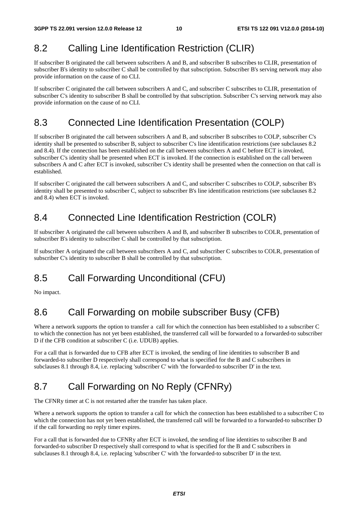#### 8.2 Calling Line Identification Restriction (CLIR)

If subscriber B originated the call between subscribers A and B, and subscriber B subscribes to CLIR, presentation of subscriber B's identity to subscriber C shall be controlled by that subscription. Subscriber B's serving network may also provide information on the cause of no CLI.

If subscriber C originated the call between subscribers A and C, and subscriber C subscribes to CLIR, presentation of subscriber C's identity to subscriber B shall be controlled by that subscription. Subscriber C's serving network may also provide information on the cause of no CLI.

#### 8.3 Connected Line Identification Presentation (COLP)

If subscriber B originated the call between subscribers A and B, and subscriber B subscribes to COLP, subscriber C's identity shall be presented to subscriber B, subject to subscriber C's line identification restrictions (see subclauses 8.2 and 8.4). If the connection has been established on the call between subscribers A and C before ECT is invoked, subscriber C's identity shall be presented when ECT is invoked. If the connection is established on the call between subscribers A and C after ECT is invoked, subscriber C's identity shall be presented when the connection on that call is established.

If subscriber C originated the call between subscribers A and C, and subscriber C subscribes to COLP, subscriber B's identity shall be presented to subscriber C, subject to subscriber B's line identification restrictions (see subclauses 8.2 and 8.4) when ECT is invoked.

### 8.4 Connected Line Identification Restriction (COLR)

If subscriber A originated the call between subscribers A and B, and subscriber B subscribes to COLR, presentation of subscriber B's identity to subscriber C shall be controlled by that subscription.

If subscriber A originated the call between subscribers A and C, and subscriber C subscribes to COLR, presentation of subscriber C's identity to subscriber B shall be controlled by that subscription.

# 8.5 Call Forwarding Unconditional (CFU)

No impact.

# 8.6 Call Forwarding on mobile subscriber Busy (CFB)

Where a network supports the option to transfer a call for which the connection has been established to a subscriber C to which the connection has not yet been established, the transferred call will be forwarded to a forwarded-to subscriber D if the CFB condition at subscriber C (i.e. UDUB) applies.

For a call that is forwarded due to CFB after ECT is invoked, the sending of line identities to subscriber B and forwarded-to subscriber D respectively shall correspond to what is specified for the B and C subscribers in subclauses 8.1 through 8.4, i.e. replacing 'subscriber C' with 'the forwarded-to subscriber D' in the text.

# 8.7 Call Forwarding on No Reply (CFNRy)

The CFNRy timer at C is not restarted after the transfer has taken place.

Where a network supports the option to transfer a call for which the connection has been established to a subscriber C to which the connection has not yet been established, the transferred call will be forwarded to a forwarded-to subscriber D if the call forwarding no reply timer expires.

For a call that is forwarded due to CFNRy after ECT is invoked, the sending of line identities to subscriber B and forwarded-to subscriber D respectively shall correspond to what is specified for the B and C subscribers in subclauses 8.1 through 8.4, i.e. replacing 'subscriber C' with 'the forwarded-to subscriber D' in the text.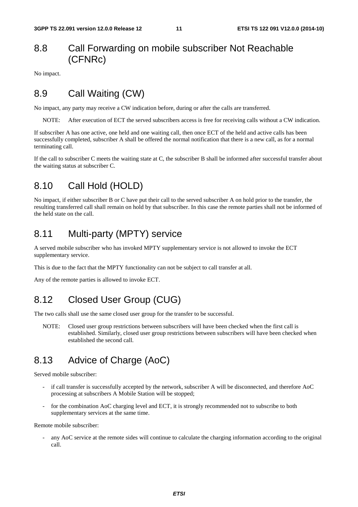#### 8.8 Call Forwarding on mobile subscriber Not Reachable (CFNRc)

No impact.

#### 8.9 Call Waiting (CW)

No impact, any party may receive a CW indication before, during or after the calls are transferred.

NOTE: After execution of ECT the served subscribers access is free for receiving calls without a CW indication.

If subscriber A has one active, one held and one waiting call, then once ECT of the held and active calls has been successfully completed, subscriber A shall be offered the normal notification that there is a new call, as for a normal terminating call.

If the call to subscriber C meets the waiting state at C, the subscriber B shall be informed after successful transfer about the waiting status at subscriber C.

#### 8.10 Call Hold (HOLD)

No impact, if either subscriber B or C have put their call to the served subscriber A on hold prior to the transfer, the resulting transferred call shall remain on hold by that subscriber. In this case the remote parties shall not be informed of the held state on the call.

#### 8.11 Multi-party (MPTY) service

A served mobile subscriber who has invoked MPTY supplementary service is not allowed to invoke the ECT supplementary service.

This is due to the fact that the MPTY functionality can not be subject to call transfer at all.

Any of the remote parties is allowed to invoke ECT.

#### 8.12 Closed User Group (CUG)

The two calls shall use the same closed user group for the transfer to be successful.

NOTE: Closed user group restrictions between subscribers will have been checked when the first call is established. Similarly, closed user group restrictions between subscribers will have been checked when established the second call.

# 8.13 Advice of Charge (AoC)

Served mobile subscriber:

- if call transfer is successfully accepted by the network, subscriber A will be disconnected, and therefore AoC processing at subscribers A Mobile Station will be stopped;
- for the combination AoC charging level and ECT, it is strongly recommended not to subscribe to both supplementary services at the same time.

Remote mobile subscriber:

any AoC service at the remote sides will continue to calculate the charging information according to the original call.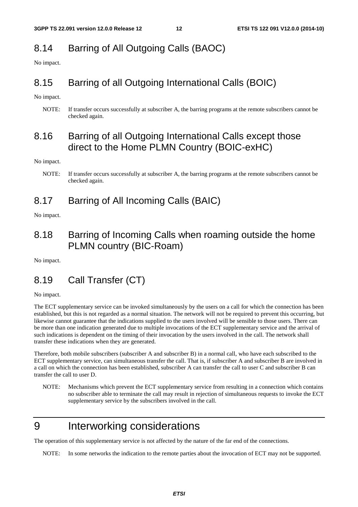# 8.14 Barring of All Outgoing Calls (BAOC)

No impact.

# 8.15 Barring of all Outgoing International Calls (BOIC)

No impact.

NOTE: If transfer occurs successfully at subscriber A, the barring programs at the remote subscribers cannot be checked again.

#### 8.16 Barring of all Outgoing International Calls except those direct to the Home PLMN Country (BOIC-exHC)

No impact.

#### 8.17 Barring of All Incoming Calls (BAIC)

No impact.

#### 8.18 Barring of Incoming Calls when roaming outside the home PLMN country (BIC-Roam)

No impact.

# 8.19 Call Transfer (CT)

No impact.

The ECT supplementary service can be invoked simultaneously by the users on a call for which the connection has been established, but this is not regarded as a normal situation. The network will not be required to prevent this occurring, but likewise cannot guarantee that the indications supplied to the users involved will be sensible to those users. There can be more than one indication generated due to multiple invocations of the ECT supplementary service and the arrival of such indications is dependent on the timing of their invocation by the users involved in the call. The network shall transfer these indications when they are generated.

Therefore, both mobile subscribers (subscriber A and subscriber B) in a normal call, who have each subscribed to the ECT supplementary service, can simultaneous transfer the call. That is, if subscriber A and subscriber B are involved in a call on which the connection has been established, subscriber A can transfer the call to user C and subscriber B can transfer the call to user D.

NOTE: Mechanisms which prevent the ECT supplementary service from resulting in a connection which contains no subscriber able to terminate the call may result in rejection of simultaneous requests to invoke the ECT supplementary service by the subscribers involved in the call.

# 9 Interworking considerations

The operation of this supplementary service is not affected by the nature of the far end of the connections.

NOTE: In some networks the indication to the remote parties about the invocation of ECT may not be supported.

NOTE: If transfer occurs successfully at subscriber A, the barring programs at the remote subscribers cannot be checked again.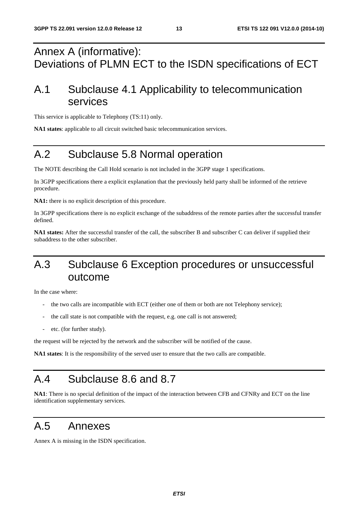# Annex A (informative): Deviations of PLMN ECT to the ISDN specifications of ECT

# A.1 Subclause 4.1 Applicability to telecommunication services

This service is applicable to Telephony (TS:11) only.

**NA1 states**: applicable to all circuit switched basic telecommunication services.

# A.2 Subclause 5.8 Normal operation

The NOTE describing the Call Hold scenario is not included in the 3GPP stage 1 specifications.

In 3GPP specifications there a explicit explanation that the previously held party shall be informed of the retrieve procedure.

**NA1:** there is no explicit description of this procedure.

In 3GPP specifications there is no explicit exchange of the subaddress of the remote parties after the successful transfer defined.

**NA1 states:** After the successful transfer of the call, the subscriber B and subscriber C can deliver if supplied their subaddress to the other subscriber.

# A.3 Subclause 6 Exception procedures or unsuccessful outcome

In the case where:

- the two calls are incompatible with ECT (either one of them or both are not Telephony service);
- the call state is not compatible with the request, e.g. one call is not answered;
- etc. (for further study).

the request will be rejected by the network and the subscriber will be notified of the cause.

**NA1 states**: It is the responsibility of the served user to ensure that the two calls are compatible.

# A.4 Subclause 8.6 and 8.7

**NA1**: There is no special definition of the impact of the interaction between CFB and CFNRy and ECT on the line identification supplementary services.

### A.5 Annexes

Annex A is missing in the ISDN specification.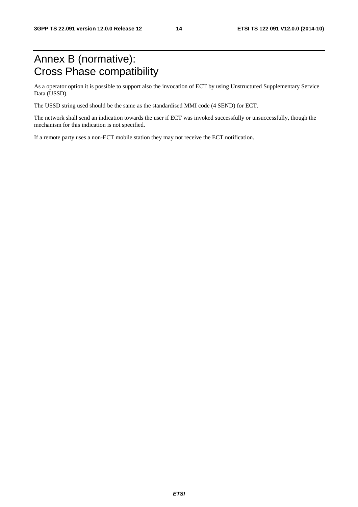# Annex B (normative): Cross Phase compatibility

As a operator option it is possible to support also the invocation of ECT by using Unstructured Supplementary Service Data (USSD).

The USSD string used should be the same as the standardised MMI code (4 SEND) for ECT.

The network shall send an indication towards the user if ECT was invoked successfully or unsuccessfully, though the mechanism for this indication is not specified.

If a remote party uses a non-ECT mobile station they may not receive the ECT notification.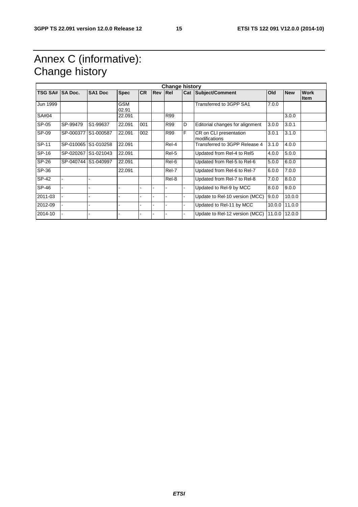# Annex C (informative): Change history

| <b>Change history</b> |                     |                     |                     |           |     |       |   |                                         |        |            |                            |
|-----------------------|---------------------|---------------------|---------------------|-----------|-----|-------|---|-----------------------------------------|--------|------------|----------------------------|
| TSG SA# SA Doc.       |                     | <b>SA1 Doc</b>      | <b>Spec</b>         | <b>CR</b> | Rev | Rel   |   | <b>Cat Subject/Comment</b>              | Old    | <b>New</b> | <b>Work</b><br><b>Item</b> |
| Jun 1999              |                     |                     | <b>GSM</b><br>02.91 |           |     |       |   | Transferred to 3GPP SA1                 | 7.0.0  |            |                            |
| SA#04                 |                     |                     | 22.091              |           |     | R99   |   |                                         |        | 3.0.0      |                            |
| SP-05                 | SP-99479            | S1-99637            | 22.091              | 001       |     | R99   | D | Editorial changes for alignment         | 3.0.0  | 3.0.1      |                            |
| SP-09                 | SP-000377 S1-000587 |                     | 22.091              | 002       |     | R99   | F | CR on CLI presentation<br>modifications | 3.0.1  | 3.1.0      |                            |
| SP-11                 |                     | SP-010065 S1-010258 | 22.091              |           |     | Rel-4 |   | Transferred to 3GPP Release 4           | 3.1.0  | 4.0.0      |                            |
| SP-16                 | SP-020267           | S1-021043           | 22.091              |           |     | Rel-5 |   | Updated from Rel-4 to Rel5              | 4.0.0  | 5.0.0      |                            |
| SP-26                 | SP-040744 S1-040997 |                     | 22.091              |           |     | Rel-6 |   | Updated from Rel-5 to Rel-6             | 5.0.0  | 6.0.0      |                            |
| SP-36                 |                     |                     | 22.091              |           |     | Rel-7 |   | Updated from Rel-6 to Rel-7             | 6.0.0  | 7.0.0      |                            |
| SP-42                 |                     |                     |                     |           |     | Rel-8 |   | Updated from Rel-7 to Rel-8             | 7.0.0  | 8.0.0      |                            |
| SP-46                 |                     |                     |                     |           |     |       |   | Updated to Rel-9 by MCC                 | 8.0.0  | 9.0.0      |                            |
| 2011-03               |                     |                     |                     |           |     |       |   | Update to Rel-10 version (MCC)          | 9.0.0  | 10.0.0     |                            |
| 2012-09               |                     |                     |                     |           |     |       |   | Updated to Rel-11 by MCC                | 10.0.0 | 11.0.0     |                            |
| 2014-10               |                     |                     |                     |           | ۰   |       | - | Update to Rel-12 version (MCC)          | 11.0.0 | 12.0.0     |                            |